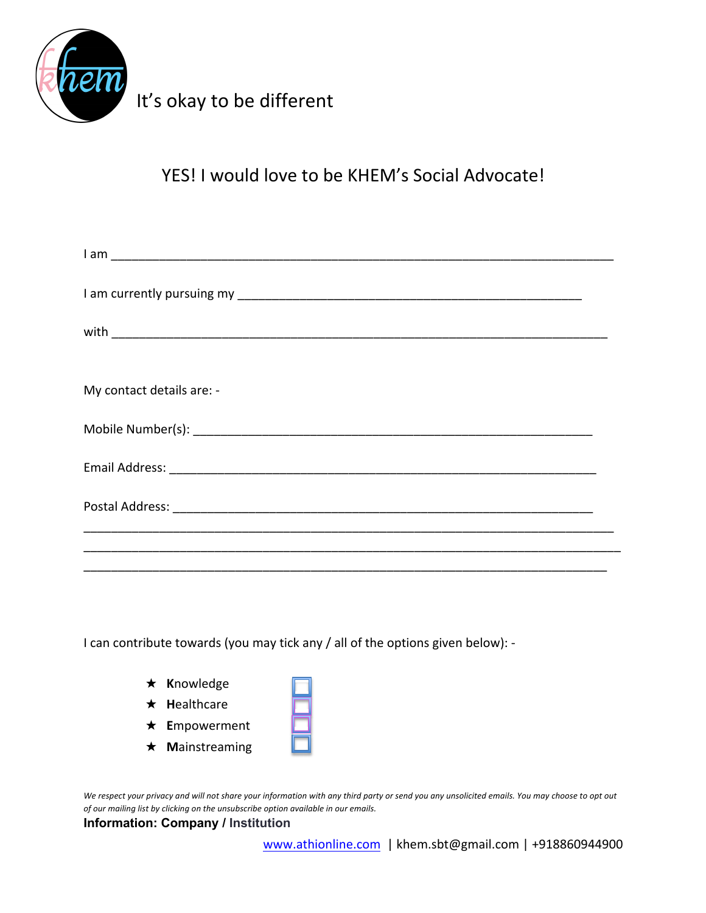

## It's okay to be different

YES! I would love to be KHEM's Social Advocate!

| My contact details are: - |
|---------------------------|
|                           |
|                           |
|                           |
|                           |
|                           |

I can contribute towards (you may tick any / all of the options given below): -

| $\star$ Knowledge     |  |
|-----------------------|--|
| $\star$ Healthcare    |  |
| $\star$ Empowerment   |  |
| $\star$ Mainstreaming |  |

*We respect your privacy and will not share your information with any third party or send you any unsolicited emails. You may choose to opt out of our mailing list by clicking on the unsubscribe option available in our emails.*

## **Information: Company / Institution**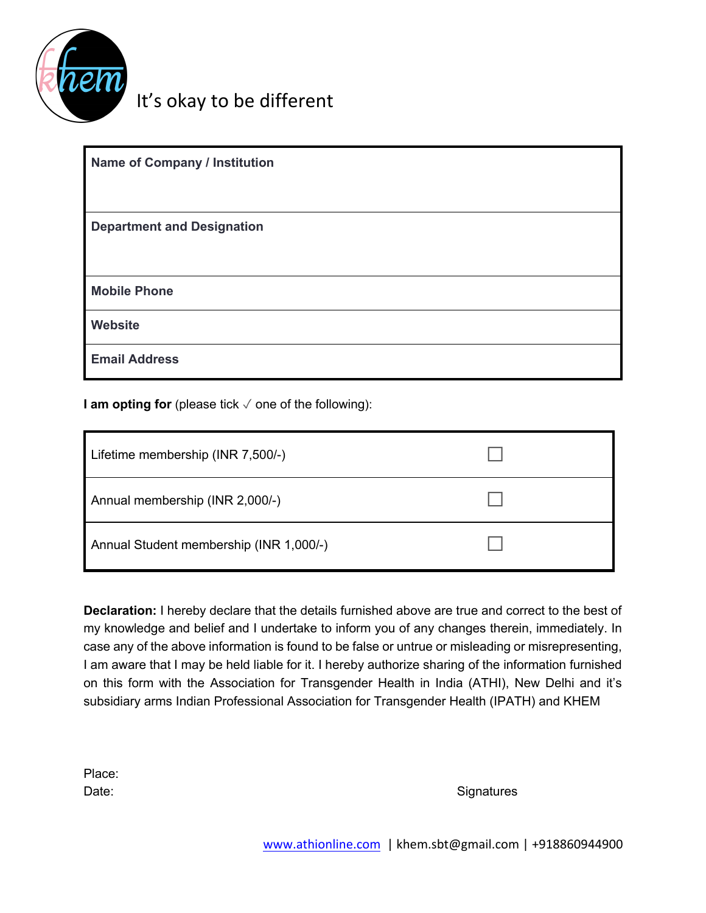

## It's okay to be different

| <b>Name of Company / Institution</b> |
|--------------------------------------|
| <b>Department and Designation</b>    |
| <b>Mobile Phone</b>                  |
| Website                              |
| <b>Email Address</b>                 |

**I am opting for** (please tick ✓ one of the following):

| Lifetime membership (INR 7,500/-)       |  |
|-----------------------------------------|--|
| Annual membership (INR 2,000/-)         |  |
| Annual Student membership (INR 1,000/-) |  |

**Declaration:** I hereby declare that the details furnished above are true and correct to the best of my knowledge and belief and I undertake to inform you of any changes therein, immediately. In case any of the above information is found to be false or untrue or misleading or misrepresenting, I am aware that I may be held liable for it. I hereby authorize sharing of the information furnished on this form with the Association for Transgender Health in India (ATHI), New Delhi and it's subsidiary arms Indian Professional Association for Transgender Health (IPATH) and KHEM

Place:

Date: Signatures and Signatures and Signatures and Signatures and Signatures and Signatures and Signatures and Signatures and Signatures and Signatures and Signatures and Signatures and Signatures and Signatures and Signat